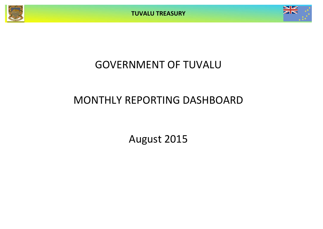**TUVALU TREASURY**



# GOVERNMENT OF TUVALU

# MONTHLY REPORTING DASHBOARD

August 2015

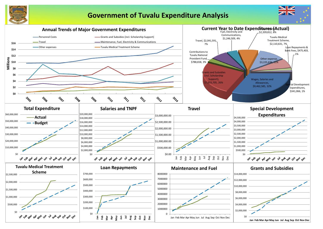

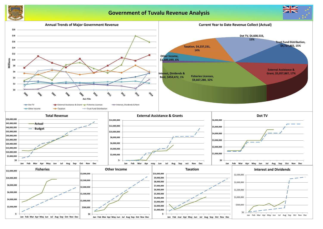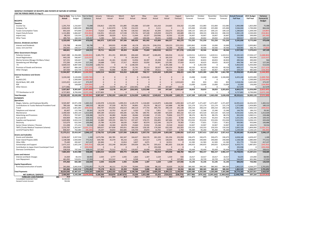### **MONTHLY STATEMENT OF RECEIPTS AND PAYENTS BY NATURE OF EXPENSE**

**FOR THE PERIOD ENDED 31-Aug-15 Year to Date** Year to Date Canuary February March April May June July August September August September October 1 **Actual** Budget Variance Actual Actual Actual Actual Actual Actual Actual Forecast Forecast Forecast Forecast Forecast **Full Year Full Year Forecast & RECEIPTS Budget** *Taxation* Income Tax 1,291,754 1,216,667 75,088 156,812 139,705 151,885 155,686 157,439 161,410 214,665 154,152 152,083 152,083 152,083 152,083 1,900,088 1,825,000 75,088 Company Tax 2,666,044 1,800,000 866,044 0 2,442,970 5,740 214,223 0 3,111 0 0 225,000 225,000 225,000 225,000 3,566,044 2,700,000 866,044 Tuvalu Consumption Taxes 853,103 873,000 (19,897)| 73,623 92,868 62,796 100,262 81,694 210,275 101,021 109,125 109,125 109,125 109,125 1,289,603 1,309,500 (19,897) Import Duty & Excise 1,131,806 1,666,667 (534,861)| 116,951 135,325 117,538 179,741 107,428 129,059 210,074 140,689 208,333 208,333 208,333 208,333 1,965,139 2,500,000 (534,861) Import Levy 88,233 133,333 (45,100) 13,996 26,029 9,111 11,644 16,327 (18,506) 16,502 13,129 16,667 16,667 16,667 16,667 154,900 200,000 (45,100) Other Taxes 289,750 160,333 129,417 5,590 520 50,436 2,600 100,446 59,031 14,840 56,287 20,042 20,042 20,042 20,042 369,917 240,500 129,417 6,320,690 5,850,000 470,690 366,972 2,837,418 397,506 689,456 481,902 415,800 666,357 465,279 731,250 731,250 731,250 731,250 9,245,690 8,775,000 470,690 *Interest, Dividends and Rent* Interest and Dividends 176,798 80,000 96,798 0 349,935 43,988 49,178 103,274 (246,253) 128,223 (153,191) 1,893,862 10,000 10,000 10,000 2,199,017 2,003,862 195,155 Lease, rent and hire 292,042 244,527 47,515 39,711 16,310 45,471 35,228 (27,670) 37,342 34,288 56,021 30,566 30,566 30,566 30,566 358,965 366,791 (7,825) 468,841 324,527 144,313| 39,711 366,245 89,459 84,406 75,604 (208,910) 162,511 (97,170) 1,924,428 40,566 40,566 40,566 2,557,982 2,370,653 187,329 *Other Government Charges* Fisheries Licenses 9,667,280 11,356,085 (1,688,804) 3,285,770 451,191 809,901 694,449 595,447 3,180,495 636,916 13,112 1,419,511 1,419,511 1,419,511 1,419,511 15,345,323 17,034,127 (1,688,804) Vessel Registrations 443,130 566,667 (123,537) 0 0 0 261,810 0 0 181,319 0 70,833 70,833 70,833 70,833 726,463 850,000 (123,537) Marine Services (Nivaga II & Manu Folau) 19 327,231 326,667 564 61,446 41,181 22,049 53,956 30,397 45,208 35,185 Stevedoring and Wharfage 372,266 245,000 127,265 24,688 7,952 17,317 49,625 33,050 56,841 125,381 57,410 30,625 30,625 30,625 30,625 494,766 367,500 127,265 .TV 4,600,533 4,087,500 513,033 1,460,721 0 0 1,548,344 0 0 1,591,468 0 0 1,362,500 0 0 5,963,033 5,450,000 513,033 Provision of Goods and Services 367,037 484,160 (117,123) 17,991 17,750 48,259 31,741 30,507 106,254 78,423 60,520 60,520 60,520 609,117 726,240 (117,123) Other Charges 167,430 323,734 (156,304) (101) 46,888 18,484 20,757 13,709 29,611 16,421 21,660 40,467 40,467 40,467 40,467 329,297 485,600 (156,304) 15,944,907 17,389,812 (1,444,905) 4,850,514 564,962 916,010 2,660,683 708,717 3,342,662 2,692,944 208,415 1,662,789 3,025,289 1,662,789 1,662,789 23,958,563 25,403,468 (1,444,905) *External Assistance and Grants* ROC 5,120,000 (1,899,760) 0 0 0 3,220,240 0 0 0 15,000 15,000 15,000 15,000 6,455,240 8,355,000 (1,899,760) AusAID (CIF) 0 1,500,000 (1,500,000) 0 0 0 0 0 0 0 0 0 0 0 0 0 1,500,000 (1,500,000) World Bank, IMF, ADB 2,015,023 1,641,667 373,357 0 0 0 0 0 0 0 2,015,023 833 833 833 833 2,018,356 1,645,000 373,357 PDF 0 104,000 (104,000) 0 0 0 0 0 0 0 0 13,000 13,000 13,000 13,000 52,000 156,000 (104,000) Other Donors (177,396) 0 (177,396) 2,499 13,578 261,247 (220,505) 2,748 100 247,687 10,624 0 0 0 0 317,979 0 317,979 5,057,867 8,365,667 (<mark>3,3</mark>07,800) 2,499 13,578 261,247 (220,505) 3,222,988 100 247,687 2,025,647 28,833 28,833 28,833 3,203,833 8,843,575 11,656,000 <mark>(2,812,425)</mark> TTF Distribution to CIF 4,727,802 8,700,000 (3,972,198) 4,727,802 0 0 0 0 0 0 0 0 0 0 0 4,727,802 8,700,000 (3,972,198) Total Receipts 32,520,105 40,630,006 (8,109,900) 9,987,497 3,782,203 1,664,223 3,214,039 4,489,212 3,549,652 3,769,499 2,602 **PAYMENTS** *Operations* Wages, Salaries, and Employee Benefits 1,092 1,505,987 10,971,298 1,465,312 1,104,978 1,154,301 1,099,353 1,145,579 1,118,469 1,124,875 1,666,068 1,092 Contributions to Tuvalu National Provident Fund | 789,166 969,388 180,223 88,105 97,339 90,753 94,891 93,274 88,127 142,888 93 Travel 2,051,325 1,601,682 (449,642) 350,797 155,032 256,613 184,114 177,755 395,735 290,139 241,138 200,210 200,210 200,210 200,210 2,852,166 2,402,523 (449,642) Telephone and Internet 83,407 122,768 39,361 14,178 10,703 16,147 9,203 7,732 7,851 7,121 10,474 15,346 15,346 15,346 144,791 184,152 39,361 Maintenance 2,390,560 3,404,164 1,013,604 609,189 133,652 340,285 121,786 189,791 165,080 425,644 405,132 925,520 425,520 425,520 425,520 4,592,642 5,606,246 1,013,604 Advertising and Provisions 478,521 707,007 228,486 14,274 46,080 56,666 28,666 123,060 17,191 79,806 112,777 88,376 88,376 88,376 88,376 832,024 1,060,511 228,486 Fuel and Oil 650,909 760,264 109,355 131,281 68,287 108,054 42,546 49,308 131,432 111,661 8,340 95,033 95,033 95,033 95,033 1,031,041 1,140,396 109,355 Supplies and Equipment 1,603,806 2,024,210 420,404 61,880 139,195 284,715 237,437 178,371 356,805 187,666 157,736 253,026 253,026 253,026 253,026 2,615,911 3,036,315 420,404 Electricity 515,679 622,564 106,886 25,786 41,559 66,630 74,807 85,974 122,346 19,274 79,303 77,821 77,821 77,821 77,821 826,961 933,846 106,886 Senior Citizen Scheme / Pension 211,698 271,252 59,554 23,380 24,360 40,978 23,660 25,932 25,246 23,520 24,622 33,907 33,907 33,907 33,907 347,324 406,878 59,554 TMTS (Tuvalu Medical Treatment Scheme) 2,233,787 1,202,667 (1,031,121) 309,637 167,838 295,051 364,203 128,195 174,200 632,160 162,503 150,333 150,333 150,333 150,333 2,835,120 1,804,000 (1,031,121) Land & Property Rent 858,367 762,083 (96,284)| 25,247 34,653 602,685 133,759 29,872 12,761 1,7637 1,754 95,260 95,260 95,260 95,260 1,239,409 1,143,125 (96,284) 21,373,211 23,419,347 2,046,137| 2,758,732 2,072,998 3,257,930 2,460,651 2,207,733 2,621,649 3,603,585 2,389,932 3,427,413 2,927,413 2,927,413 2,927,413 33,582,862 35,628,999 2,046,137 *Grants and Subsidies* Grants and Subsidies 3,336,267 3,336,267 3,337,536 1,269 1,673,706 182,785 362,347 164,627 264,576 261,320 191,356 235,550 330,475 330,475 330,475 330,475 4,658,168 4,659,437 1,269 Outer Island Projects (SDE) 1,148,588 1,920,000 771,412 644,780 35,379 85,216 1,651 157,317 1,370 130,035 92,840 240,000 240,000 240,000 240,000 2,108,588 2,880,000 771,412 Other SDEs 75,440 492,667 417,227 (8,184) 0 12,814 3,827 4,071 0 62,911 0 61,583 61,583 61,583 61,583 321,773 739,000 417,227 Scholarships and Support 3,471,152 1,925,236 (545,916) 426,246 232,248 365,842 359,636 181,791 205,622 481,602 218,166 240,655 240,655 240,655 3,240,655 6,433,771 5,887,855 (545,916) Contribution to Japan Grant Counterpart Fund 293,938 0 (293,938) 0 0 0 0 0 0 0 293,938 0 0 Overseas Contributions 538,918 747,549 208,631 227,967 75,512 23,553 119,957 16,000 20,670 13,054 93,444 93,444 93,444 93,444 912,693 1,121,324 208,631 7,864,303 8,422,988 558,685 2,964,515 525,924 849,772 649,698 623,756 782,919 878,958 588,760 966,157 966,157 966,157 3,966,157 14,728,931 15,287,615 558,685 *Loans and Interest* Interest and Bank Charges 14,369 83,333 68,965 2,777 1,935 1,822 1,307 1,529 1,559 934 10,417 10,417 10,417 10,417 56,035 125,000 68,965 Loan Repayment 519,051 57,959 0 315,522 0 0 0 0 137,001 20,729 20,729 20,729 20,729 544,007 601,966 57,959 475,460 602,384 126,924| 2,505 318,299 1,935 10,390 1,307 1,529 1,559 137,936 31,145 31,145 31,145 31,145| 600,042 726,966 126,924 *Capital Expenditures* Purchase/construction of assets 341,066 3,042,918 2,701,852 75,178 46,111 22,259 70,044 5,006 88,132 10,020 24,316 380,365 380,365 380,365 380,365 1,862,525 4,564,377 2,701,852 341,066 3,042,918 2,701,852| 75,178 46,111 22,259 70,044 5,006 88,132 10,020 24,316 380,365 380,365 380,365 380,365| 1,862,525 4,564,377 2,701,852 Total Payments 5,487,637 5,433,597| 5,800,931 2,963,333 4,131,896 3,190,784 2,837,803 3,494,220 4,494,121 3,140,944 4,805,080 4,305,080 4,305,080 7,305,080 50,774,360 56,207,95 NET SURPLUS / (DEFICIT) 2,466,065 5,142,368 (2,676,303) 4,186,566 818,870 (2,467,673) 23,256 1,651,409 55,422 (724,622) (538,773) (457,780) (479,142) (1,841,642) (1,666,642) (1,440,749) 697,164 ( **FORECAST CASH POSITION \$M 25.8 27.0 27.8 25.4 25.4 27.0 27.1 26.4 25.8 25.4 24.9 23.1 21.4** Consolidated Investment Fund 25,048,002

General Current Account **789,956** 

| ıst            | September         | October           | November          | December            | Actual+Forecast         | 2015 Budget             | Variance               |
|----------------|-------------------|-------------------|-------------------|---------------------|-------------------------|-------------------------|------------------------|
| ast            | Forecast          | Forecast          | Forecast          | Forecast            | <b>Full Year</b>        | <b>Full Year</b>        | Forecast &             |
|                |                   |                   |                   |                     |                         |                         | <b>Budget</b>          |
|                |                   |                   |                   |                     |                         |                         |                        |
| 1,152          | 152,083           | 152,083           | 152,083           | 152,083             | 1,900,088               | 1,825,000               | 75,088                 |
| 0              | 225,000           | 225,000           | 225,000           | 225,000             | 3,566,044               | 2,700,000               | 866,044                |
| 1,021          | 109,125           | 109,125           | 109,125           | 109,125             | 1,289,603               | 1,309,500               | (19, 897)              |
| 0,689          | 208,333           | 208,333           | 208,333           | 208,333             | 1,965,139               | 2,500,000               | (534, 861)             |
| 3,129          | 16,667            | 16,667            | 16,667            | 16,667              | 154,900                 | 200,000                 | (45, 100)              |
| 5,287          | 20,042            | 20,042            | 20,042            | 20,042              | 369,917                 | 240,500                 | 129,417                |
| 5,279          | 731,250           | 731,250           | 731,250           | 731,250             | 9,245,690               | 8,775,000               | 470,690                |
| ,191)          | 1,893,862         | 10,000            | 10,000            | 10,000              | 2,199,017               | 2,003,862               | 195,155                |
| 5,021          | 30,566            | 30,566            | 30,566            | 30,566              | 358,965                 | 366,791                 | (7, 825)               |
| ,170)          | 1,924,428         | 40,566            | 40,566            | 40,566              | 2,557,982               | 2,370,653               | 187,329                |
|                |                   |                   |                   |                     |                         |                         |                        |
| 3,112          | 1,419,511         | 1,419,511         | 1,419,511         | 1,419,511           | 15,345,323              | 17,034,127              | (1,688,804)            |
| 0              | 70,833            | 70,833            | 70,833            | 70,833              | 726,463                 | 850,000                 | (123, 537)             |
| 7,809          | 40,833            | 40,833            | 40,833            | 40,833              | 490,564                 | 490,000                 | 564                    |
| 7,410          | 30,625            | 30,625            | 30,625            | 30,625              | 494,766                 | 367,500                 | 127,265                |
| 0              | 0                 | 1,362,500         | 0                 | 0                   | 5,963,033               | 5,450,000               | 513,033                |
| 3,423          | 60,520            | 60,520            | 60,520            | 60,520              | 609,117                 | 726,240                 | (117, 123)             |
| 1,660          | 40,467            | 40,467            | 40,467            | 40,467              | 329,297                 | 485,600                 | (156, 304)             |
| 3,415          | 1,662,789         | 3,025,289         | 1,662,789         | 1,662,789           | 23,958,563              | 25,403,468              | (1,444,905)            |
|                |                   |                   |                   |                     |                         |                         |                        |
| $\mathbf 0$    | 15,000            | 15,000            | 15,000            | 3,190,000           | 6,455,240               | 8,355,000<br>1,500,000  | (1,899,760)            |
| 0<br>5,023     | 0<br>833          | 0<br>833          | 0<br>833          | 0<br>833            | 0<br>2,018,356          | 1,645,000               | (1,500,000)<br>373,357 |
| 0              | 13,000            | 13,000            | 13,000            | 13,000              | 52,000                  | 156,000                 | (104,000)              |
| 0,624          | 0                 | 0                 | 0                 | $\mathbf 0$         | 317,979                 | 0                       | 317,979                |
| 5,647          | 28,833            | 28,833            | 28,833            | 3,203,833           | 8,843,575               | 11,656,000              | (2,812,425)            |
| $\mathbf 0$    | 0                 | 0                 | 0                 | 0                   | 4,727,802               | 8,700,000               | (3,972,198)            |
| 2,171          | 4,347,300         | 3,825,938         | 2,463,438         | 5,638,438           | 49,333,611              | 56,905,120              | (7,571,509)            |
|                |                   |                   |                   |                     |                         |                         |                        |
|                |                   |                   |                   |                     |                         |                         |                        |
| 2,363          | 1,371,407         | 1,371,407         | 1,371,407         | 1,371,407           | 14,991,613              | 16,456,925              | 1,465,312              |
| 3,789          | 121,174           | 121,174           | 121,174           | 121,174             | 1,273,860               | 1,454,083               | 180,223                |
| 1,138          | 200,210           | 200,210           | 200,210           | 200,210             | 2,852,166               | 2,402,523               | (449, 642)             |
| 0,474          | 15,346            | 15,346            | 15,346            | 15,346              | 144,791                 | 184,152                 | 39,361                 |
| 5,132          | 925,520           | 425,520           | 425,520           | 425,520             | 4,592,642               | 5,606,246               | 1,013,604              |
| 2,777          | 88,376            | 88,376            | 88,376            | 88,376              | 832,024                 | 1,060,511               | 228,486                |
| 3,340          | 95,033            | 95,033            | 95,033            | 95,033              | 1,031,041               | 1,140,396               | 109,355                |
| 7,736          | 253,026           | 253,026           | 253,026           | 253,026             | 2,615,911               | 3,036,315               | 420,404                |
| 9,303          | 77,821            | 77,821            | 77,821            | 77,821              | 826,961                 | 933,846                 | 106,886                |
| 4,622          | 33,907            | 33,907            | 33,907            | 33,907              | 347,324                 | 406,878                 | 59,554                 |
| 2,503          | 150,333<br>95,260 | 150,333<br>95,260 | 150,333<br>95,260 | 150,333             | 2,835,120               | 1,804,000               | (1,031,121)            |
| l,754<br>9,932 | 3,427,413         | 2,927,413         | 2,927,413         | 95,260<br>2,927,413 | 1,239,409<br>33,582,862 | 1,143,125<br>35,628,999 | (96, 284)<br>2,046,137 |
|                |                   |                   |                   |                     |                         |                         |                        |
| 5,550          | 330,475           | 330,475           | 330,475           | 330,475             | 4,658,168               | 4,659,437               | 1,269                  |
| 2,840          | 240,000           | 240,000           | 240,000           | 240,000             | 2,108,588               | 2,880,000               | 771,412                |
| $\mathbf 0$    | 61,583            | 61,583            | 61,583            | 61,583              | 321,773                 | 739,000                 | 417,227                |
| 3,166          | 240,655           | 240,655           | 240,655           | 3,240,655           | 6,433,771               | 5,887,855               | (545, 916)             |
| 0              | 0                 | 0                 | $\mathbf 0$       | 0                   | 293,938                 | 0                       | (293, 938)             |
| 2,204          | 93,444            | 93,444            | 93,444            | 93,444              | 912,693                 | 1,121,324               | 208,631                |
| 3,760          | 966,157           | 966,157           | 966,157           | 3,966,157           | 14,728,931              | 15,287,615              | 558,685                |
|                |                   |                   |                   |                     |                         |                         |                        |
| 934            | 10,417            | 10,417            | 10,417            | 10,417              | 56,035                  | 125,000                 | 68,965                 |
| 7,001          | 20,729            | 20,729            | 20,729            | 20,729              | 544,007                 | 601,966                 | 57,959                 |
| 7,936          | 31,145            | 31,145            | 31,145            | 31,145              | 600,042                 | 726,966                 | 126,924                |
| 4,316          | 380,365           | 380,365           | 380,365           | 380,365             | 1,862,525               | 4,564,377               | 2,701,852              |
| 1,316          | 380,365           | 380,365           | 380,365           | 380,365             | 1,862,525               | 4,564,377               | 2,701,852              |
| ),944          | 4,805,080         | 4,305,080         | 4,305,080         | 7,305,080           | 50,774,360              | 56,207,957              | 5,433,597              |
| ,773)          | (457,780)         | (479, 142)        | (1,841,642)       | (1,666,642)         | (1, 440, 749)           | 697,164                 | (2, 137, 913)          |
| 25.8           | 25.4              | 24.9              | 23.1              | 21.4                |                         |                         |                        |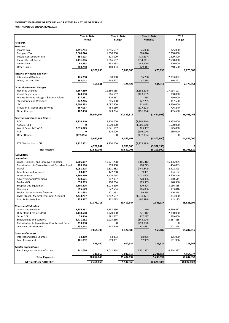| Purchase/construction of assets | 341,066    | 3,042,918  | 2,701,852   | 4,564,377   |
|---------------------------------|------------|------------|-------------|-------------|
|                                 | 341,066    | 3.042.918  | 2,701,852   | 4,564,377   |
| <b>Total Payments</b>           | 30,054,040 | 35.487.637 | 5,433,597   | 56,207,957  |
| NET SURPLUS / (DEFECIT)         | 2,466,065  | 5,142,368  | (2,676,303) | (8,002,836) |

|                                                        | <b>Year to Date</b> |            | <b>Year to Date</b> |            | <b>Year to Date</b> |               | 2015           |            |
|--------------------------------------------------------|---------------------|------------|---------------------|------------|---------------------|---------------|----------------|------------|
|                                                        | Actual              |            | <b>Budget</b>       |            | Variance            |               | <b>Budget</b>  |            |
| <b>RECEIPTS</b>                                        |                     |            |                     |            |                     |               |                |            |
| <b>Taxation</b>                                        |                     |            |                     |            |                     |               |                |            |
| Income Tax                                             | 1,291,754           |            | 1,216,667           |            | 75,088              |               | 1,825,000      |            |
| Company Tax                                            | 2,666,044           |            | 1,800,000           |            | 866,044             |               | 2,700,000      |            |
| <b>Tuvalu Consumption Tax</b>                          | 853,103             |            | 873,000             |            | (19, 897)           |               | 1,309,500      |            |
| Import Duty & Excise                                   | 1,131,806           |            | 1,666,667           |            | (534, 861)          |               | 2,500,000      |            |
| Import Levy                                            | 88,233              |            | 133,333             |            | (45, 100)           |               | 200,000        |            |
| <b>Other Taxes</b>                                     | 289,750             |            | 160,333             |            | 129,417             |               | 240,500        |            |
|                                                        |                     | 6,320,690  |                     | 5,850,000  |                     | 470,690       |                | 8,775,000  |
| <b>Interest, Dividends and Rent</b>                    |                     |            |                     |            |                     |               |                |            |
| <b>Interest and Dividends</b>                          | 176,798             |            | 80,000              |            | 96,798              |               | 2,003,862      |            |
| Lease, rent and hire                                   | 292,042             |            | 244,527             |            | 47,515              |               | 366,791        |            |
|                                                        |                     | 468,841    |                     | 324,527    |                     | 144,313       |                | 2,370,653  |
| <b>Other Government Charges</b>                        |                     |            |                     |            |                     |               |                |            |
| <b>Fisheries Licenses</b>                              | 9,667,280           |            | 11,356,085          |            | (1,688,804)         |               | 17,034,127     |            |
| <b>Vessel Registrations</b>                            | 443,130             |            | 566,667             |            | (123, 537)          |               | 850,000        |            |
| Marine Services (Nivaga II & Manu Folau)               | 327,231             |            | 326,667             |            | 564                 |               | 490,000        |            |
| Stevedoring and Wharfage                               | 372,266             |            | 245,000             |            | 127,265             |               | 367,500        |            |
| .TV                                                    | 4,600,533           |            | 4,087,500           |            | 513,033             |               | 5,450,000      |            |
| Provision of Goods and Services                        | 367,037             |            | 484,160             |            | (117, 123)          |               | 726,240        |            |
| <b>Other Charges</b>                                   | 167,430             |            | 323,734             |            | (156, 304)          |               | 485,600        |            |
|                                                        |                     | 15,944,907 |                     | 17,389,812 |                     | (1,444,905)   |                | 25,403,468 |
| <b>External Assistance and Grants</b>                  |                     |            |                     |            |                     |               |                |            |
| <b>ROC</b>                                             | 3,220,240           |            | 5,120,000           |            | (1,899,760)         |               | 8,355,000      |            |
| AusAID (CIF)                                           | ŋ                   |            | 1,500,000           |            | (1,500,000)         |               | 1,500,000      |            |
| World Bank, IMF, ADB                                   | 2,015,023           |            | 1,641,667           |            | 373,357             |               | 1,645,000      |            |
| <b>PDF</b>                                             | 0                   |            | 104,000             |            | (104,000)           |               | 156,000        |            |
| <b>Other Donors</b>                                    | (177, 396)          |            | 0                   |            | (177, 396)          |               | 0              |            |
|                                                        |                     | 5,057,867  |                     | 8,365,667  |                     | (3,307,800)   |                | 11,656,000 |
| TTF Distribution to CIF                                | 4,727,802           |            | 8,700,000           |            | (3,972,198)         |               |                |            |
|                                                        |                     | 4,727,802  |                     | 8,700,000  |                     | (3,972,198)   |                |            |
| <b>Total Receipts</b>                                  |                     | 32,520,105 |                     | 40,630,006 |                     | (8, 109, 900) |                | 48,205,120 |
|                                                        |                     |            |                     |            |                     |               |                |            |
| <b>PAYMENTS</b>                                        |                     |            |                     |            |                     |               |                |            |
| <b>Operations</b>                                      |                     |            |                     |            |                     |               |                |            |
| Wages, Salaries, and Employee Benefits                 | 9,505,987           |            | 10,971,298          |            | 1,465,312           |               | 16,456,925     |            |
| <b>Contributions to Tuvalu National Provident Fund</b> | 789,166             |            | 969,388             |            | 180,223             |               | 1,454,083      |            |
| Travel                                                 | 2,051,325           |            | 1,601,682           |            | (449, 642)          |               | 2,402,523      |            |
| Telephone and Internet                                 | 83,407              |            | 122,768             |            | 39,361              |               | 184,152        |            |
| Maintenance                                            | 2,390,560           |            | 3,404,164           |            | 1,013,604           |               | 5,606,246      |            |
| <b>Advertising and Provisions</b>                      | 478,521             |            | 707,007             |            | 228,486             |               | 1,060,511      |            |
| Fuel and Oil                                           | 650,909             |            | 760,264             |            | 109,355             |               | 1,140,396      |            |
| Supplies and Equipment                                 | 1,603,806           |            | 2,024,210           |            | 420,404             |               | 3,036,315      |            |
| Electricity                                            | 515,679             |            | 622,564             |            | 106,886             |               | 933,846        |            |
| Senior Citizen Scheme / Pension                        | 211,698             |            | 271,252             |            | 59,554              |               | 406,878        |            |
| <b>TMTS (Tuvalu Medical Treatment Scheme)</b>          | 2,233,787           |            | 1,202,667           |            | (1,031,121)         |               | 1,804,000      |            |
| Land & Property Rent                                   | 858,367             |            | 762,083             |            | (96, 284)           |               | 1,143,125      |            |
|                                                        |                     | 21,373,211 |                     | 23,419,347 |                     | 2,046,137     |                | 35,628,999 |
| <b>Grants and Subsidies</b>                            |                     |            |                     |            |                     |               |                |            |
| <b>Grants and Subsidies</b>                            | 3,336,267           |            | 3,337,536           |            | 1,269               |               | 4,659,437      |            |
| Outer Island Projects (SDE)                            | 1,148,588           |            | 1,920,000           |            | 771,412             |               | 2,880,000      |            |
| Other SDEs                                             | 75,440              |            | 492,667             |            | 417,227             |               | 739,000        |            |
| Scholarships and Support                               | 2,471,152           |            | 1,925,236<br>0      |            | (545, 916)          |               | 5,887,855<br>0 |            |
| Contribution to Japan Grant Counterpart Fund           | 293,938             |            |                     |            | (293, 938)          |               |                |            |
| <b>Overseas Contributions</b>                          | 538,918             |            | 747,549             |            | 208,631             |               | 1,121,324      |            |
|                                                        |                     | 7,864,303  |                     | 8,422,988  |                     | 558,685       |                | 15,287,615 |
| <b>Loans and Interest</b>                              |                     |            |                     |            |                     |               |                |            |
| Interest and Bank Charges                              | 14,369              |            | 83,333              |            | 68,965              |               | 125,000        |            |
| Loan Repayment                                         | 461,092             |            | 519,051             | 602,384    | 57,959              | 126,924       | 601,966        |            |
|                                                        |                     | 475,460    |                     |            |                     |               |                | 726,966    |
| <b>Capital Expenditures</b>                            |                     |            |                     |            |                     |               |                |            |

## **MONTHLY STATEMENT OF RECEIPTS AND PAYENTS BY NATURE OF EXPENSE FOR THE PERIOD ENDED 31/08/2015**